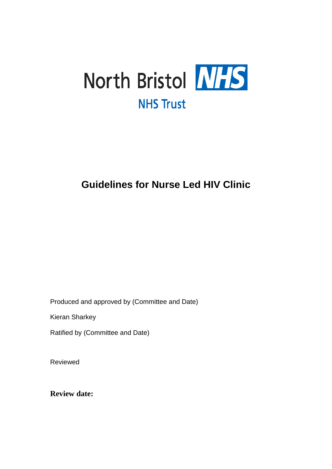

## **Guidelines for Nurse Led HIV Clinic**

Produced and approved by (Committee and Date)

Kieran Sharkey

Ratified by (Committee and Date)

Reviewed

**Review date:**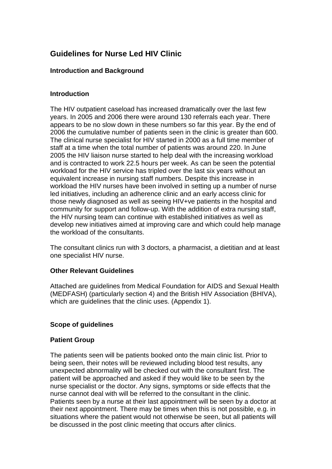## **Guidelines for Nurse Led HIV Clinic**

#### **Introduction and Background**

#### **Introduction**

The HIV outpatient caseload has increased dramatically over the last few years. In 2005 and 2006 there were around 130 referrals each year. There appears to be no slow down in these numbers so far this year. By the end of 2006 the cumulative number of patients seen in the clinic is greater than 600. The clinical nurse specialist for HIV started in 2000 as a full time member of staff at a time when the total number of patients was around 220. In June 2005 the HIV liaison nurse started to help deal with the increasing workload and is contracted to work 22.5 hours per week. As can be seen the potential workload for the HIV service has tripled over the last six years without an equivalent increase in nursing staff numbers. Despite this increase in workload the HIV nurses have been involved in setting up a number of nurse led initiatives, including an adherence clinic and an early access clinic for those newly diagnosed as well as seeing HIV+ve patients in the hospital and community for support and follow-up. With the addition of extra nursing staff, the HIV nursing team can continue with established initiatives as well as develop new initiatives aimed at improving care and which could help manage the workload of the consultants.

The consultant clinics run with 3 doctors, a pharmacist, a dietitian and at least one specialist HIV nurse.

#### **Other Relevant Guidelines**

Attached are guidelines from Medical Foundation for AIDS and Sexual Health (MEDFASH) (particularly section 4) and the British HIV Association (BHIVA), which are quidelines that the clinic uses. (Appendix 1).

#### **Scope of guidelines**

#### **Patient Group**

The patients seen will be patients booked onto the main clinic list. Prior to being seen, their notes will be reviewed including blood test results, any unexpected abnormality will be checked out with the consultant first. The patient will be approached and asked if they would like to be seen by the nurse specialist or the doctor. Any signs, symptoms or side effects that the nurse cannot deal with will be referred to the consultant in the clinic. Patients seen by a nurse at their last appointment will be seen by a doctor at their next appointment. There may be times when this is not possible, e.g. in situations where the patient would not otherwise be seen, but all patients will be discussed in the post clinic meeting that occurs after clinics.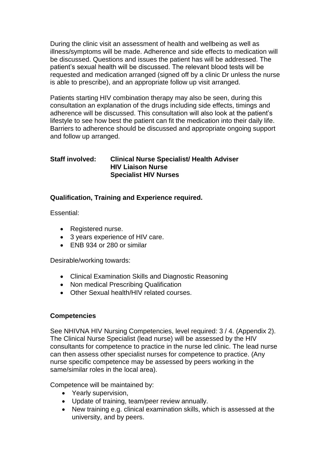During the clinic visit an assessment of health and wellbeing as well as illness/symptoms will be made. Adherence and side effects to medication will be discussed. Questions and issues the patient has will be addressed. The patient's sexual health will be discussed. The relevant blood tests will be requested and medication arranged (signed off by a clinic Dr unless the nurse is able to prescribe), and an appropriate follow up visit arranged.

Patients starting HIV combination therapy may also be seen, during this consultation an explanation of the drugs including side effects, timings and adherence will be discussed. This consultation will also look at the patient's lifestyle to see how best the patient can fit the medication into their daily life. Barriers to adherence should be discussed and appropriate ongoing support and follow up arranged.

#### **Staff involved: Clinical Nurse Specialist/ Health Adviser HIV Liaison Nurse Specialist HIV Nurses**

#### **Qualification, Training and Experience required.**

Essential:

- Registered nurse.
- 3 years experience of HIV care.
- ENB 934 or 280 or similar

Desirable/working towards:

- Clinical Examination Skills and Diagnostic Reasoning
- Non medical Prescribing Qualification
- Other Sexual health/HIV related courses.

#### **Competencies**

See NHIVNA HIV Nursing Competencies, level required: 3 / 4. (Appendix 2). The Clinical Nurse Specialist (lead nurse) will be assessed by the HIV consultants for competence to practice in the nurse led clinic. The lead nurse can then assess other specialist nurses for competence to practice. (Any nurse specific competence may be assessed by peers working in the same/similar roles in the local area).

Competence will be maintained by:

- Yearly supervision,
- Update of training, team/peer review annually.
- New training e.g. clinical examination skills, which is assessed at the university, and by peers.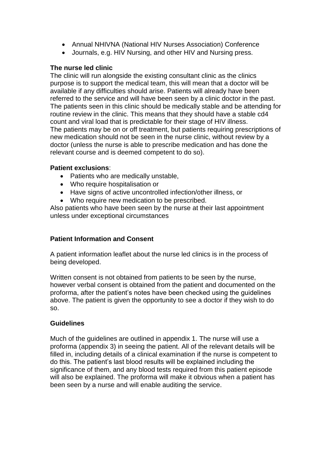- Annual NHIVNA (National HIV Nurses Association) Conference
- Journals, e.g. HIV Nursing, and other HIV and Nursing press.

#### **The nurse led clinic**

The clinic will run alongside the existing consultant clinic as the clinics purpose is to support the medical team, this will mean that a doctor will be available if any difficulties should arise. Patients will already have been referred to the service and will have been seen by a clinic doctor in the past. The patients seen in this clinic should be medically stable and be attending for routine review in the clinic. This means that they should have a stable cd4 count and viral load that is predictable for their stage of HIV illness. The patients may be on or off treatment, but patients requiring prescriptions of new medication should not be seen in the nurse clinic, without review by a doctor (unless the nurse is able to prescribe medication and has done the relevant course and is deemed competent to do so).

#### **Patient exclusions**:

- Patients who are medically unstable,
- Who require hospitalisation or
- Have signs of active uncontrolled infection/other illness, or
- Who require new medication to be prescribed.

Also patients who have been seen by the nurse at their last appointment unless under exceptional circumstances

#### **Patient Information and Consent**

A patient information leaflet about the nurse led clinics is in the process of being developed.

Written consent is not obtained from patients to be seen by the nurse, however verbal consent is obtained from the patient and documented on the proforma, after the patient's notes have been checked using the guidelines above. The patient is given the opportunity to see a doctor if they wish to do so.

#### **Guidelines**

Much of the guidelines are outlined in appendix 1. The nurse will use a proforma (appendix 3) in seeing the patient. All of the relevant details will be filled in, including details of a clinical examination if the nurse is competent to do this. The patient's last blood results will be explained including the significance of them, and any blood tests required from this patient episode will also be explained. The proforma will make it obvious when a patient has been seen by a nurse and will enable auditing the service.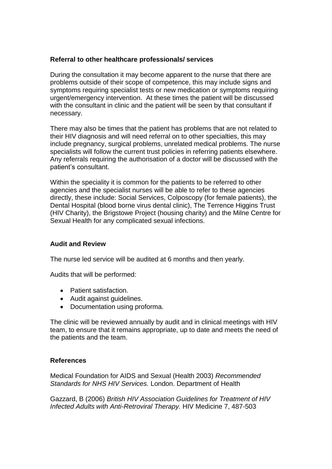#### **Referral to other healthcare professionals/ services**

During the consultation it may become apparent to the nurse that there are problems outside of their scope of competence, this may include signs and symptoms requiring specialist tests or new medication or symptoms requiring urgent/emergency intervention. At these times the patient will be discussed with the consultant in clinic and the patient will be seen by that consultant if necessary.

There may also be times that the patient has problems that are not related to their HIV diagnosis and will need referral on to other specialties, this may include pregnancy, surgical problems, unrelated medical problems. The nurse specialists will follow the current trust policies in referring patients elsewhere. Any referrals requiring the authorisation of a doctor will be discussed with the patient's consultant.

Within the speciality it is common for the patients to be referred to other agencies and the specialist nurses will be able to refer to these agencies directly, these include: Social Services, Colposcopy (for female patients), the Dental Hospital (blood borne virus dental clinic), The Terrence Higgins Trust (HIV Charity), the Brigstowe Project (housing charity) and the Milne Centre for Sexual Health for any complicated sexual infections.

#### **Audit and Review**

The nurse led service will be audited at 6 months and then yearly.

Audits that will be performed:

- Patient satisfaction.
- Audit against guidelines.
- Documentation using proforma.

The clinic will be reviewed annually by audit and in clinical meetings with HIV team, to ensure that it remains appropriate, up to date and meets the need of the patients and the team.

#### **References**

Medical Foundation for AIDS and Sexual (Health 2003) *Recommended Standards for NHS HIV Services.* London. Department of Health

Gazzard, B (2006) *British HIV Association Guidelines for Treatment of HIV Infected Adults with Anti-Retroviral Therapy.* HIV Medicine 7, 487-503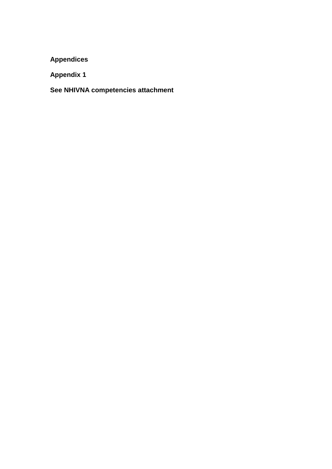**Appendices**

**Appendix 1**

**See NHIVNA competencies attachment**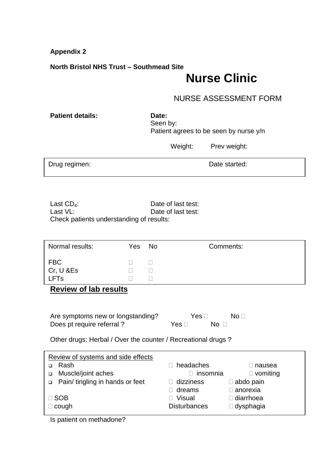**Appendix 2**

#### **North Bristol NHS Trust – Southmead Site**

# **Nurse Clinic**

### NURSE ASSESSMENT FORM

**Patient details:** Date:

Seen by: Patient agrees to be seen by nurse y/n

Weight: Prev weight:

Drug regimen: **Drug regimen: Date started:** 

Last CD<sub>4</sub>: Last CD<sub>4</sub>: Date of last test:<br>
Last VL: Date of last test: Date of last test: Check patients understanding of results:

| Normal results:        | Yes No | Comments: |
|------------------------|--------|-----------|
| <b>FBC</b>             |        |           |
| Cr, U & Es             |        |           |
| <b>LFT<sub>s</sub></b> |        |           |

**Review of lab results**

| Are symptoms new or longstanding? | Yes $\Box$         | No ⊟ |
|-----------------------------------|--------------------|------|
| Does pt require referral?         | Yes ⊟<br>No $\Box$ |      |

Other drugs: Herbal / Over the counter / Recreational drugs ?

| Review of systems and side effects |                     |                    |
|------------------------------------|---------------------|--------------------|
| Rash                               | headaches           | □ nausea           |
| Muscle/joint aches                 | insomnia            | $\Box$ vomiting    |
| Pain/ tingling in hands or feet    | $\Box$ dizziness    | $\Box$ abdo pain   |
|                                    | dreams              | $\square$ anorexia |
| $\Box$ SOB                         | <b>Visual</b>       | $\Box$ diarrhoea   |
| $\Box$ cough                       | <b>Disturbances</b> | $\Box$ dysphagia   |
|                                    |                     |                    |

Is patient on methadone?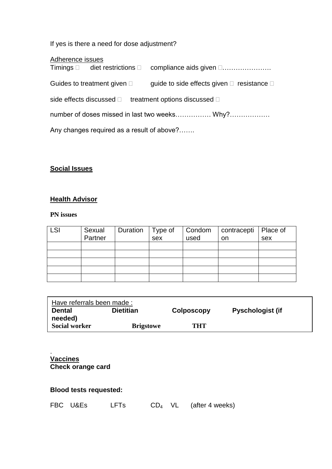If yes is there a need for dose adjustment?

| Adherence issues |  |
|------------------|--|
|                  |  |

|                                               |                                     | Timings □ diet restrictions □ compliance aids given □                  |  |
|-----------------------------------------------|-------------------------------------|------------------------------------------------------------------------|--|
|                                               | Guides to treatment given $\square$ | guide to side effects given $\square$ resistance $\square$             |  |
|                                               |                                     | side effects discussed $\square$ treatment options discussed $\square$ |  |
| number of doses missed in last two weeks Why? |                                     |                                                                        |  |
| Any changes required as a result of above?    |                                     |                                                                        |  |

## **Social Issues**

## **Health Advisor**

#### **PN issues**

| <b>LSI</b> | Sexual<br>Partner | Duration | $\vert$ Type of<br>$s$ ex | Condom<br>used | contracepti   Place of | sex |
|------------|-------------------|----------|---------------------------|----------------|------------------------|-----|
|            |                   |          |                           |                | on                     |     |
|            |                   |          |                           |                |                        |     |
|            |                   |          |                           |                |                        |     |
|            |                   |          |                           |                |                        |     |
|            |                   |          |                           |                |                        |     |
|            |                   |          |                           |                |                        |     |

| Have referrals been made : |                  |                   |                         |  |
|----------------------------|------------------|-------------------|-------------------------|--|
| <b>Dental</b>              | <b>Dietitian</b> | <b>Colposcopy</b> | <b>Pyschologist (if</b> |  |
| needed)                    |                  |                   |                         |  |
| <b>Social worker</b>       | <b>Brigstowe</b> | THT               |                         |  |

. **Vaccines Check orange card**

## **Blood tests requested:**

|  | FBC U&Es | <b>LFTs</b> | $CD_4$ VL |  | (after 4 weeks) |
|--|----------|-------------|-----------|--|-----------------|
|--|----------|-------------|-----------|--|-----------------|